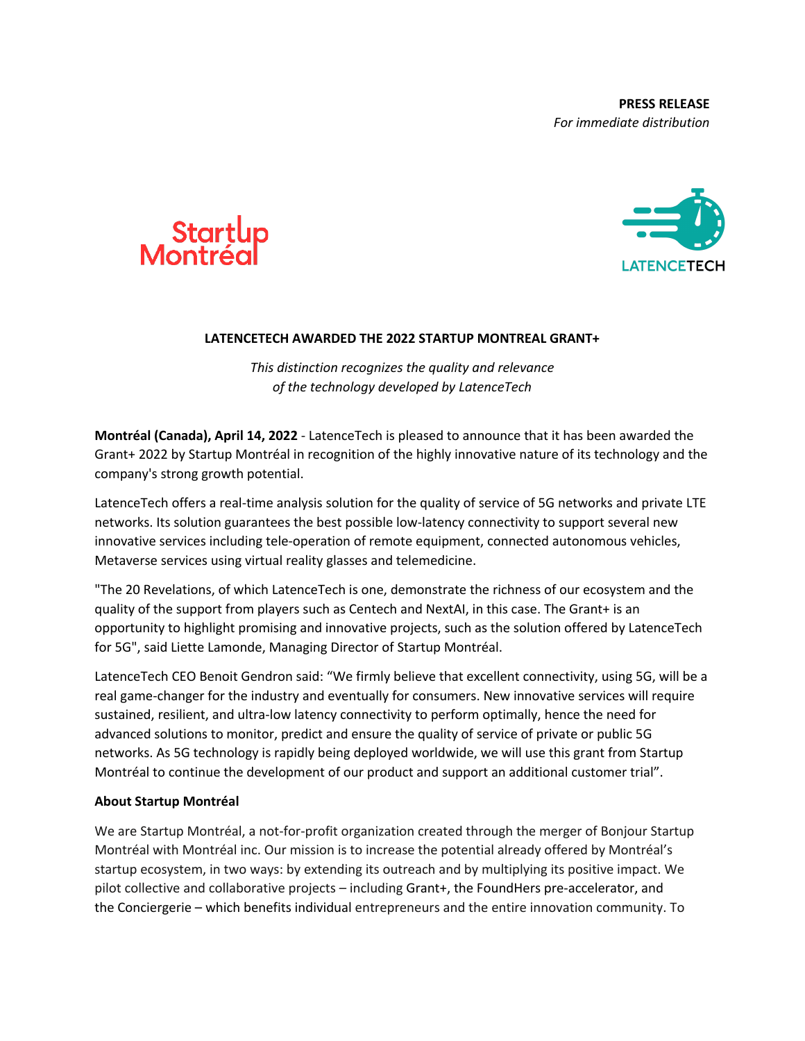



## **LATENCETECH AWARDED THE 2022 STARTUP MONTREAL GRANT+**

*This distinction recognizes the quality and relevance of the technology developed by LatenceTech*

**Montréal (Canada), April 14, 2022** - LatenceTech is pleased to announce that it has been awarded the Grant+ 2022 by Startup Montréal in recognition of the highly innovative nature of its technology and the company's strong growth potential.

LatenceTech offers a real-time analysis solution for the quality of service of 5G networks and private LTE networks. Its solution guarantees the best possible low-latency connectivity to support several new innovative services including tele-operation of remote equipment, connected autonomous vehicles, Metaverse services using virtual reality glasses and telemedicine.

"The 20 Revelations, of which LatenceTech is one, demonstrate the richness of our ecosystem and the quality of the support from players such as Centech and NextAI, in this case. The Grant+ is an opportunity to highlight promising and innovative projects, such as the solution offered by LatenceTech for 5G", said Liette Lamonde, Managing Director of Startup Montréal.

LatenceTech CEO Benoit Gendron said: "We firmly believe that excellent connectivity, using 5G, will be a real game-changer for the industry and eventually for consumers. New innovative services will require sustained, resilient, and ultra-low latency connectivity to perform optimally, hence the need for advanced solutions to monitor, predict and ensure the quality of service of private or public 5G networks. As 5G technology is rapidly being deployed worldwide, we will use this grant from Startup Montréal to continue the development of our product and support an additional customer trial".

## **About Startup Montréal**

We are Startup Montréal, a not-for-profit organization created through the merger of Bonjour Startup Montréal with Montréal inc. Our mission is to increase the potential already offered by Montréal's startup ecosystem, in two ways: by extending its outreach and by multiplying its positive impact. We pilot collective and collaborative projects – including Grant+, the FoundHers pre-accelerator, and the Conciergerie – which benefits individual entrepreneurs and the entire innovation community. To